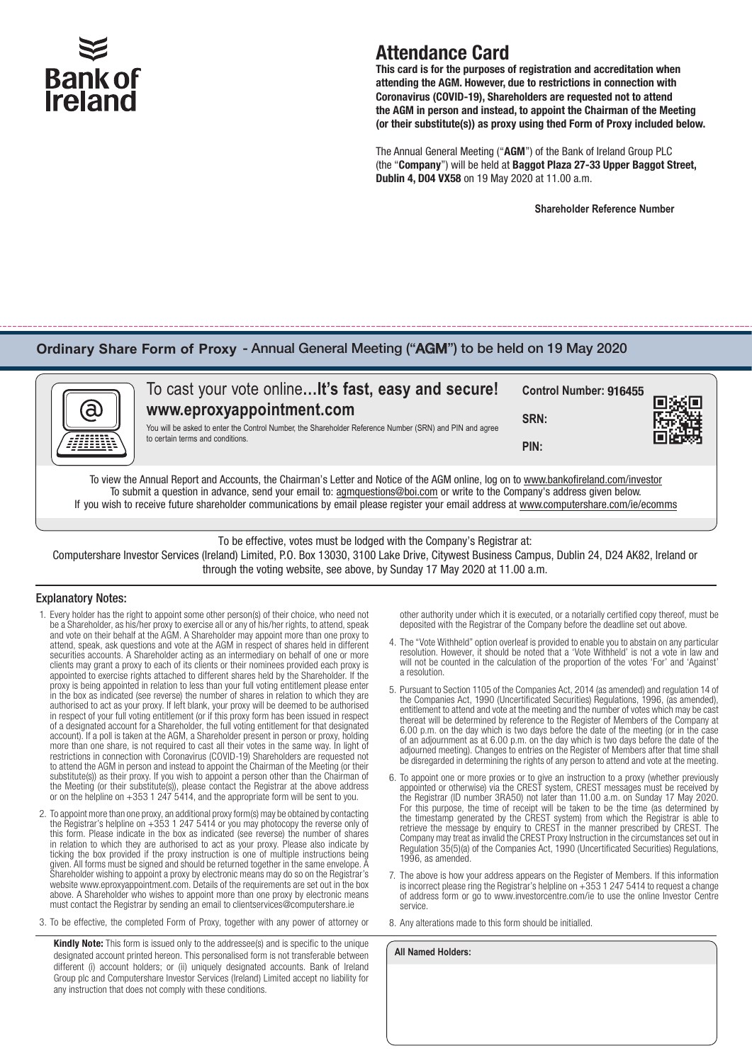

# Attendance Card

This card is for the purposes of registration and accreditation when attending the AGM. However, due to restrictions in connection with Coronavirus (COVID-19), Shareholders are requested not to attend the AGM in person and instead, to appoint the Chairman of the Meeting (or their substitute(s)) as proxy using thed Form of Proxy included below.

The Annual General Meeting ("AGM") of the Bank of Ireland Group PLC (the "Company") will be held at Baggot Plaza 27-33 Upper Baggot Street, Dublin 4, D04 VX58 on 19 May 2020 at 11.00 a.m.

**Shareholder Reference Number**

### **Ordinary Share Form of Proxy** - Annual General Meeting ("AGM") to be held on 19 May 2020

| (බ                                                                                                                                   | To cast your vote online It's fast, easy and secure!<br>www.eproxyappointment.com<br>You will be asked to enter the Control Number, the Shareholder Reference Number (SRN) and PIN and agree<br>to certain terms and conditions. | Control Number: 916455<br>SRN:<br>PIN: |  |  |  |  |
|--------------------------------------------------------------------------------------------------------------------------------------|----------------------------------------------------------------------------------------------------------------------------------------------------------------------------------------------------------------------------------|----------------------------------------|--|--|--|--|
| To view the Annual Report and Accounts, the Chairman's Letter and Notice of the AGM online, log on to www.bankofireland.com/investor |                                                                                                                                                                                                                                  |                                        |  |  |  |  |

To submit a question in advance, send your email to: agmquestions@boi.com or write to the Company's address given below. If you wish to receive future shareholder communications by email please register your email address at www.computershare.com/ie/ecomms

To be effective, votes must be lodged with the Company's Registrar at:

Computershare Investor Services (Ireland) Limited, P.O. Box 13030, 3100 Lake Drive, Citywest Business Campus, Dublin 24, D24 AK82, Ireland or through the voting website, see above, by Sunday 17 May 2020 at 11.00 a.m.

#### Explanatory Notes:

- 1. Every holder has the right to appoint some other person(s) of their choice, who need not be a Shareholder, as his/her proxy to exercise all or any of his/her rights, to attend, speak and vote on their behalf at the AGM. A Shareholder may appoint more than one proxy to attend, speak, ask questions and vote at the AGM in respect of shares held in different securities accounts. A Shareholder acting as an intermediary on behalf of one or more clients may grant a proxy to each of its clients or their nominees provided each proxy is appointed to exercise rights attached to different shares held by the Shareholder. If the proxy is being appointed in relation to less than your full voting entitlement please enter in the box as indicated (see reverse) the number of shares in relation to which they are authorised to act as your proxy. If left blank, your proxy will be deemed to be authorised in respect of your full voting entitlement (or if this proxy form has been issued in respect of a designated account for a Shareholder, the full voting entitlement for that designated account). If a poll is taken at the AGM, a Shareholder present in person or proxy, holding more than one share, is not required to cast all their votes in the same way. In light of restrictions in connection with Coronavirus (COVID-19) Shareholders are requested not to attend the AGM in person and instead to appoint the Chairman of the Meeting (or their substitute(s)) as their proxy. If you wish to appoint a person other than the Chairman of the Meeting (or their substitute(s)), please contact the Registrar at the above address or on the helpline on +353 1 247 5414, and the appropriate form will be sent to you.
- 2. To appoint more than one proxy, an additional proxy form(s) may be obtained by contacting the Registrar's helpline on +353 1 247 5414 or you may photocopy the reverse only of this form. Please indicate in the box as indicated (see reverse) the number of shares in relation to which they are authorised to act as your proxy. Please also indicate by ticking the box provided if the proxy instruction is one of multiple instructions being given. All forms must be signed and should be returned together in the same envelope. A Shareholder wishing to appoint a proxy by electronic means may do so on the Registrar's website www.eproxyappointment.com. Details of the requirements are set out in the box above. A Shareholder who wishes to appoint more than one proxy by electronic means must contact the Registrar by sending an email to clientservices@computershare.ie
- 3. To be effective, the completed Form of Proxy, together with any power of attorney or

Kindly Note: This form is issued only to the addressee(s) and is specific to the unique designated account printed hereon. This personalised form is not transferable between different (i) account holders; or (ii) uniquely designated accounts. Bank of Ireland Group plc and Computershare Investor Services (Ireland) Limited accept no liability for any instruction that does not comply with these conditions.

other authority under which it is executed, or a notarially certified copy thereof, must be deposited with the Registrar of the Company before the deadline set out above.

- 4. The "Vote Withheld" option overleaf is provided to enable you to abstain on any particular resolution. However, it should be noted that a 'Vote Withheld' is not a vote in law and will not be counted in the calculation of the proportion of the votes 'For' and 'Against' a resolution.
- 5. Pursuant to Section 1105 of the Companies Act, 2014 (as amended) and regulation 14 of the Companies Act, 1990 (Uncertificated Securities) Regulations, 1996, (as amended), entitlement to attend and vote at the meeting and the number of votes which may be cast thereat will be determined by reference to the Register of Members of the Company at 6.00 p.m. on the day which is two days before the date of the meeting (or in the case of an adjournment as at 6.00 p.m. on the day which is two days before the date of the adjourned meeting). Changes to entries on the Register of Members after that time shall be disregarded in determining the rights of any person to attend and vote at the meeting.
- 6. To appoint one or more proxies or to give an instruction to a proxy (whether previously appointed or otherwise) via the CREST system, CREST messages must be received by the Registrar (ID number 3RA50) not later than 11.00 a.m. on Sunday 17 May 2020. For this purpose, the time of receipt will be taken to be the time (as determined by the timestamp generated by the CREST system) from which the Registrar is able to retrieve the message by enquiry to CREST in the manner prescribed by CREST. The Company may treat as invalid the CREST Proxy Instruction in the circumstances set out in Regulation 35(5)(a) of the Companies Act, 1990 (Uncertificated Securities) Regulations, 1996, as amended.
- 7. The above is how your address appears on the Register of Members. If this information is incorrect please ring the Registrar's helpline on  $+353$  1 247 5414 to request a change of address form or go to www.investorcentre.com/ie to use the online Investor Centre service.
- 8. Any alterations made to this form should be initialled.

**All Named Holders:**